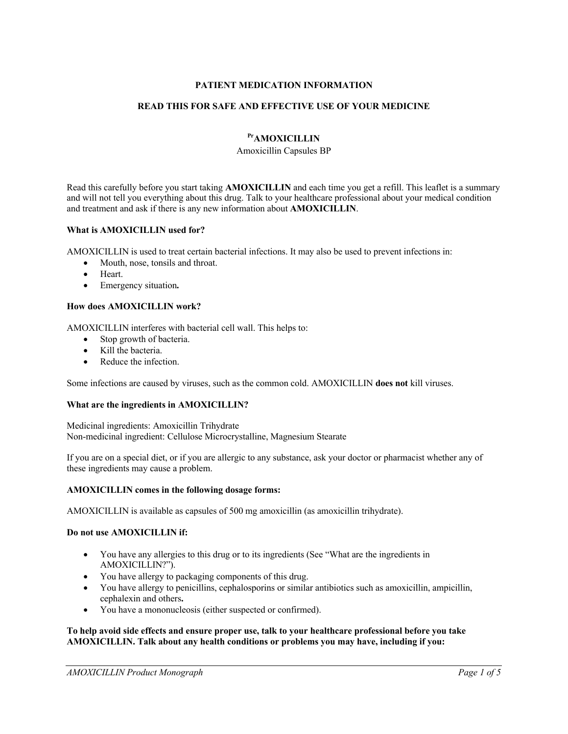# **PATIENT MEDICATION INFORMATION**

# **READ THIS FOR SAFE AND EFFECTIVE USE OF YOUR MEDICINE**

# **PrAMOXICILLIN**

#### Amoxicillin Capsules BP

Read this carefully before you start taking **AMOXICILLIN** and each time you get a refill. This leaflet is a summary and will not tell you everything about this drug. Talk to your healthcare professional about your medical condition and treatment and ask if there is any new information about **AMOXICILLIN**.

#### **What is AMOXICILLIN used for?**

AMOXICILLIN is used to treat certain bacterial infections. It may also be used to prevent infections in:

- Mouth, nose, tonsils and throat.
- Heart.
- Emergency situation**.**

#### **How does AMOXICILLIN work?**

AMOXICILLIN interferes with bacterial cell wall. This helps to:

- Stop growth of bacteria.
- Kill the bacteria.
- Reduce the infection.

Some infections are caused by viruses, such as the common cold. AMOXICILLIN **does not** kill viruses.

# **What are the ingredients in AMOXICILLIN?**

Medicinal ingredients: Amoxicillin Trihydrate Non-medicinal ingredient: Cellulose Microcrystalline, Magnesium Stearate

If you are on a special diet, or if you are allergic to any substance, ask your doctor or pharmacist whether any of these ingredients may cause a problem.

#### **AMOXICILLIN comes in the following dosage forms:**

AMOXICILLIN is available as capsules of 500 mg amoxicillin (as amoxicillin trihydrate).

#### **Do not use AMOXICILLIN if:**

- You have any allergies to this drug or to its ingredients (See "What are the ingredients in AMOXICILLIN?").
- You have allergy to packaging components of this drug.
- You have allergy to penicillins, cephalosporins or similar antibiotics such as amoxicillin, ampicillin, cephalexin and others**.**
- You have a mononucleosis (either suspected or confirmed).

#### **To help avoid side effects and ensure proper use, talk to your healthcare professional before you take AMOXICILLIN. Talk about any health conditions or problems you may have, including if you:**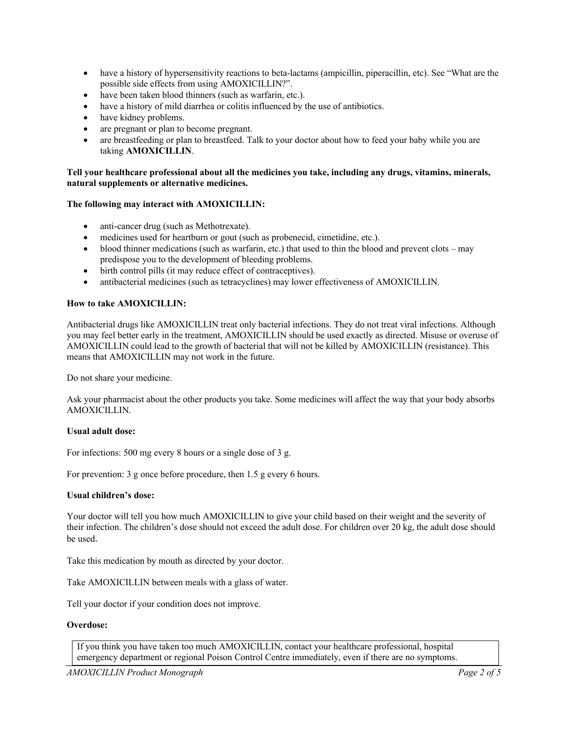- have a history of hypersensitivity reactions to beta-lactams (ampicillin, piperacillin, etc). See "What are the possible side effects from using AMOXICILLIN?".
- have been taken blood thinners (such as warfarin, etc.).
- have a history of mild diarrhea or colitis influenced by the use of antibiotics.
- have kidney problems.
- are pregnant or plan to become pregnant.
- are breastfeeding or plan to breastfeed. Talk to your doctor about how to feed your baby while you are taking **AMOXICILLIN**.

#### **Tell your healthcare professional about all the medicines you take, including any drugs, vitamins, minerals, natural supplements or alternative medicines.**

# **The following may interact with AMOXICILLIN:**

- anti-cancer drug (such as Methotrexate).
- medicines used for heartburn or gout (such as probenecid, cimetidine, etc.).
- blood thinner medications (such as warfarin, etc.) that used to thin the blood and prevent clots may predispose you to the development of bleeding problems.
- birth control pills (it may reduce effect of contraceptives).
- antibacterial medicines (such as tetracyclines) may lower effectiveness of AMOXICILLIN.

#### **How to take AMOXICILLIN:**

Antibacterial drugs like AMOXICILLIN treat only bacterial infections. They do not treat viral infections. Although you may feel better early in the treatment, AMOXICILLIN should be used exactly as directed. Misuse or overuse of AMOXICILLIN could lead to the growth of bacterial that will not be killed by AMOXICILLIN (resistance). This means that AMOXICILLIN may not work in the future.

Do not share your medicine.

Ask your pharmacist about the other products you take. Some medicines will affect the way that your body absorbs AMOXICILLIN.

#### **Usual adult dose:**

For infections: 500 mg every 8 hours or a single dose of 3 g.

For prevention: 3 g once before procedure, then 1.5 g every 6 hours.

#### **Usual children's dose:**

Your doctor will tell you how much AMOXICILLIN to give your child based on their weight and the severity of their infection. The children's dose should not exceed the adult dose. For children over 20 kg, the adult dose should be used.

Take this medication by mouth as directed by your doctor.

Take AMOXICILLIN between meals with a glass of water.

Tell your doctor if your condition does not improve.

# **Overdose:**

If you think you have taken too much AMOXICILLIN, contact your healthcare professional, hospital emergency department or regional Poison Control Centre immediately, even if there are no symptoms.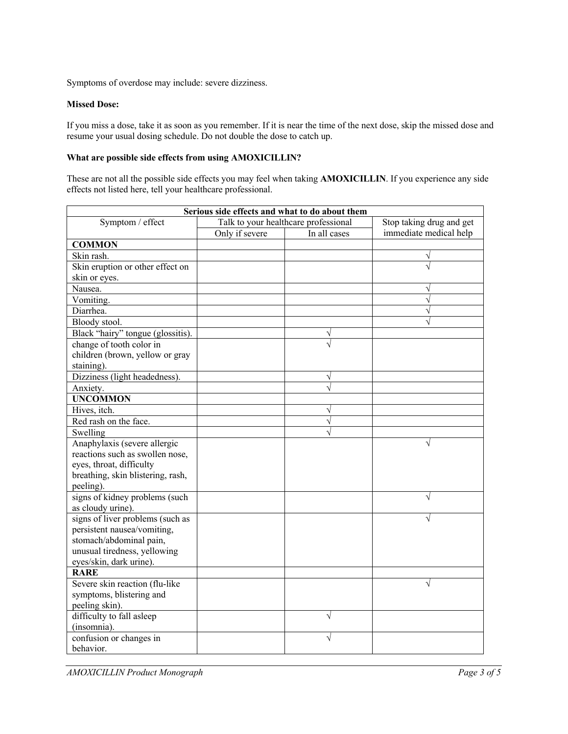Symptoms of overdose may include: severe dizziness.

# **Missed Dose:**

If you miss a dose, take it as soon as you remember. If it is near the time of the next dose, skip the missed dose and resume your usual dosing schedule. Do not double the dose to catch up.

# **What are possible side effects from using AMOXICILLIN?**

These are not all the possible side effects you may feel when taking **AMOXICILLIN**. If you experience any side effects not listed here, tell your healthcare professional.

| Serious side effects and what to do about them |                                      |              |                          |  |
|------------------------------------------------|--------------------------------------|--------------|--------------------------|--|
| Symptom / effect                               | Talk to your healthcare professional |              | Stop taking drug and get |  |
|                                                | Only if severe                       | In all cases | immediate medical help   |  |
| <b>COMMON</b>                                  |                                      |              |                          |  |
| Skin rash.                                     |                                      |              |                          |  |
| Skin eruption or other effect on               |                                      |              |                          |  |
| skin or eyes.                                  |                                      |              |                          |  |
| Nausea.                                        |                                      |              |                          |  |
| Vomiting.                                      |                                      |              |                          |  |
| Diarrhea.                                      |                                      |              |                          |  |
| Bloody stool.                                  |                                      |              |                          |  |
| Black "hairy" tongue (glossitis).              |                                      |              |                          |  |
| change of tooth color in                       |                                      |              |                          |  |
| children (brown, yellow or gray                |                                      |              |                          |  |
| staining).                                     |                                      |              |                          |  |
| Dizziness (light headedness).                  |                                      | V            |                          |  |
| Anxiety.                                       |                                      | N            |                          |  |
| <b>UNCOMMON</b>                                |                                      |              |                          |  |
| Hives, itch.                                   |                                      |              |                          |  |
| Red rash on the face.                          |                                      | V            |                          |  |
| Swelling                                       |                                      | N            |                          |  |
| Anaphylaxis (severe allergic                   |                                      |              |                          |  |
| reactions such as swollen nose,                |                                      |              |                          |  |
| eyes, throat, difficulty                       |                                      |              |                          |  |
| breathing, skin blistering, rash,              |                                      |              |                          |  |
| peeling).                                      |                                      |              |                          |  |
| signs of kidney problems (such                 |                                      |              | $\sqrt{ }$               |  |
| as cloudy urine).                              |                                      |              |                          |  |
| signs of liver problems (such as               |                                      |              |                          |  |
| persistent nausea/vomiting,                    |                                      |              |                          |  |
| stomach/abdominal pain,                        |                                      |              |                          |  |
| unusual tiredness, yellowing                   |                                      |              |                          |  |
| eyes/skin, dark urine).                        |                                      |              |                          |  |
| <b>RARE</b>                                    |                                      |              |                          |  |
| Severe skin reaction (flu-like                 |                                      |              |                          |  |
| symptoms, blistering and                       |                                      |              |                          |  |
| peeling skin).                                 |                                      |              |                          |  |
| difficulty to fall asleep                      |                                      | $\sqrt{}$    |                          |  |
| (insomnia).                                    |                                      |              |                          |  |
| confusion or changes in                        |                                      | V            |                          |  |
| behavior.                                      |                                      |              |                          |  |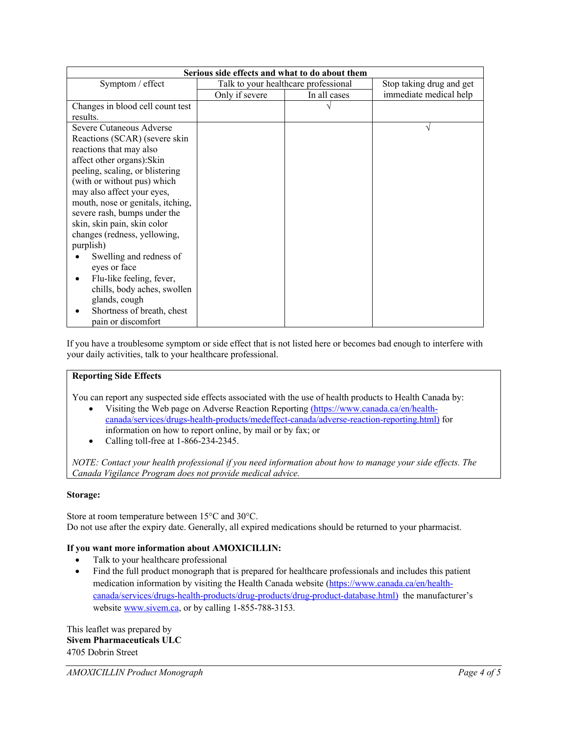| Serious side effects and what to do about them |                                      |              |                          |  |
|------------------------------------------------|--------------------------------------|--------------|--------------------------|--|
| Symptom / effect                               | Talk to your healthcare professional |              | Stop taking drug and get |  |
|                                                | Only if severe                       | In all cases | immediate medical help   |  |
| Changes in blood cell count test               |                                      |              |                          |  |
| results.                                       |                                      |              |                          |  |
| Severe Cutaneous Adverse                       |                                      |              |                          |  |
| Reactions (SCAR) (severe skin                  |                                      |              |                          |  |
| reactions that may also                        |                                      |              |                          |  |
| affect other organs): Skin                     |                                      |              |                          |  |
| peeling, scaling, or blistering                |                                      |              |                          |  |
| (with or without pus) which                    |                                      |              |                          |  |
| may also affect your eyes,                     |                                      |              |                          |  |
| mouth, nose or genitals, itching,              |                                      |              |                          |  |
| severe rash, bumps under the                   |                                      |              |                          |  |
| skin, skin pain, skin color                    |                                      |              |                          |  |
| changes (redness, yellowing,                   |                                      |              |                          |  |
| purplish)                                      |                                      |              |                          |  |
| Swelling and redness of                        |                                      |              |                          |  |
| eyes or face                                   |                                      |              |                          |  |
| Flu-like feeling, fever,                       |                                      |              |                          |  |
| chills, body aches, swollen                    |                                      |              |                          |  |
| glands, cough                                  |                                      |              |                          |  |
| Shortness of breath, chest                     |                                      |              |                          |  |
| pain or discomfort                             |                                      |              |                          |  |

If you have a troublesome symptom or side effect that is not listed here or becomes bad enough to interfere with your daily activities, talk to your healthcare professional.

# **Reporting Side Effects**

You can report any suspected side effects associated with the use of health products to Health Canada by:

- Visiting the Web page on Adverse Reaction Reporting (https://www.canada.ca/en/healthcanada/services/drugs-health-products/medeffect-canada/adverse-reaction-reporting.html) for information on how to report online, by mail or by fax; or
- Calling toll-free at  $1-866-234-2345$ .

*NOTE: Contact your health professional if you need information about how to manage your side effects. The Canada Vigilance Program does not provide medical advice.* 

# **Storage:**

Store at room temperature between 15°C and 30°C. Do not use after the expiry date. Generally, all expired medications should be returned to your pharmacist.

# **If you want more information about AMOXICILLIN:**

- Talk to your healthcare professional
- Find the full product monograph that is prepared for healthcare professionals and includes this patient medication information by visiting the Health Canada website (https://www.canada.ca/en/healthcanada/services/drugs-health-products/drug-products/drug-product-database.html) the manufacturer's website www.sivem.ca, or by calling 1-855-788-3153.

This leaflet was prepared by **Sivem Pharmaceuticals ULC** 4705 Dobrin Street